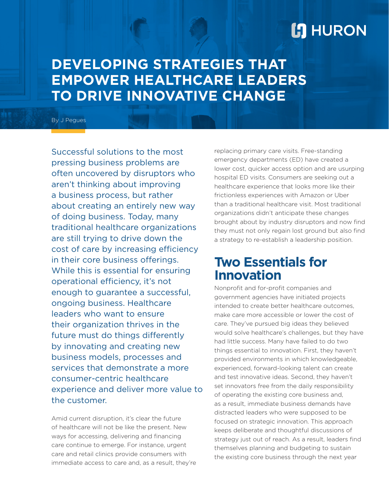# **L'I** HURON

# **DEVELOPING STRATEGIES THAT EMPOWER HEALTHCARE LEADERS TO DRIVE INNOVATIVE CHANGE**

By J Pegues

Successful solutions to the most pressing business problems are often uncovered by disruptors who aren't thinking about improving a business process, but rather about creating an entirely new way of doing business. Today, many traditional healthcare organizations are still trying to drive down the cost of care by increasing efficiency in their core business offerings. While this is essential for ensuring operational efficiency, it's not enough to guarantee a successful, ongoing business. Healthcare leaders who want to ensure their organization thrives in the future must do things differently by innovating and creating new business models, processes and services that demonstrate a more consumer-centric healthcare experience and deliver more value to the customer.

Amid current disruption, it's clear the future of healthcare will not be like the present. New ways for accessing, delivering and financing care continue to emerge. For instance, urgent care and retail clinics provide consumers with immediate access to care and, as a result, they're

replacing primary care visits. Free-standing emergency departments (ED) have created a lower cost, quicker access option and are usurping hospital ED visits. Consumers are seeking out a healthcare experience that looks more like their frictionless experiences with Amazon or Uber than a traditional healthcare visit. Most traditional organizations didn't anticipate these changes brought about by industry disruptors and now find they must not only regain lost ground but also find a strategy to re-establish a leadership position.

### **Two Essentials for Innovation**

Nonprofit and for-profit companies and government agencies have initiated projects intended to create better healthcare outcomes, make care more accessible or lower the cost of care. They've pursued big ideas they believed would solve healthcare's challenges, but they have had little success. Many have failed to do two things essential to innovation. First, they haven't provided environments in which knowledgeable, experienced, forward-looking talent can create and test innovative ideas. Second, they haven't set innovators free from the daily responsibility of operating the existing core business and, as a result, immediate business demands have distracted leaders who were supposed to be focused on strategic innovation. This approach keeps deliberate and thoughtful discussions of strategy just out of reach. As a result, leaders find themselves planning and budgeting to sustain the existing core business through the next year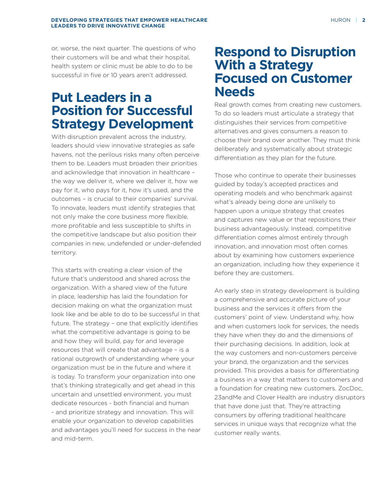or, worse, the next quarter. The questions of who their customers will be and what their hospital, health system or clinic must be able to do to be successful in five or 10 years aren't addressed.

## **Put Leaders in a Position for Successful Strategy Development**

With disruption prevalent across the industry, leaders should view innovative strategies as safe havens, not the perilous risks many often perceive them to be. Leaders must broaden their priorities and acknowledge that innovation in healthcare – the way we deliver it, where we deliver it, how we pay for it, who pays for it, how it's used, and the outcomes – is crucial to their companies' survival. To innovate, leaders must identify strategies that not only make the core business more flexible, more profitable and less susceptible to shifts in the competitive landscape but also position their companies in new, undefended or under-defended territory.

This starts with creating a clear vision of the future that's understood and shared across the organization. With a shared view of the future in place, leadership has laid the foundation for decision making on what the organization must look like and be able to do to be successful in that future. The strategy – one that explicitly identifies what the competitive advantage is going to be and how they will build, pay for and leverage resources that will create that advantage – is a rational outgrowth of understanding where your organization must be in the future and where it is today. To transform your organization into one that's thinking strategically and get ahead in this uncertain and unsettled environment, you must dedicate resources - both financial and human - and prioritize strategy and innovation. This will enable your organization to develop capabilities and advantages you'll need for success in the near and mid-term.

### **Respond to Disruption With a Strategy Focused on Customer Needs**

Real growth comes from creating new customers. To do so leaders must articulate a strategy that distinguishes their services from competitive alternatives and gives consumers a reason to choose their brand over another. They must think deliberately and systematically about strategic differentiation as they plan for the future.

Those who continue to operate their businesses guided by today's accepted practices and operating models and who benchmark against what's already being done are unlikely to happen upon a unique strategy that creates and captures new value or that repositions their business advantageously. Instead, competitive differentiation comes almost entirely through innovation, and innovation most often comes about by examining how customers experience an organization, including how they experience it before they are customers.

An early step in strategy development is building a comprehensive and accurate picture of your business and the services it offers from the customers' point of view. Understand why, how and when customers look for services, the needs they have when they do and the dimensions of their purchasing decisions. In addition, look at the way customers and non-customers perceive your brand, the organization and the services provided. This provides a basis for differentiating a business in a way that matters to customers and a foundation for creating new customers. ZocDoc, 23andMe and Clover Health are industry disruptors that have done just that. They're attracting consumers by offering traditional healthcare services in unique ways that recognize what the customer really wants.